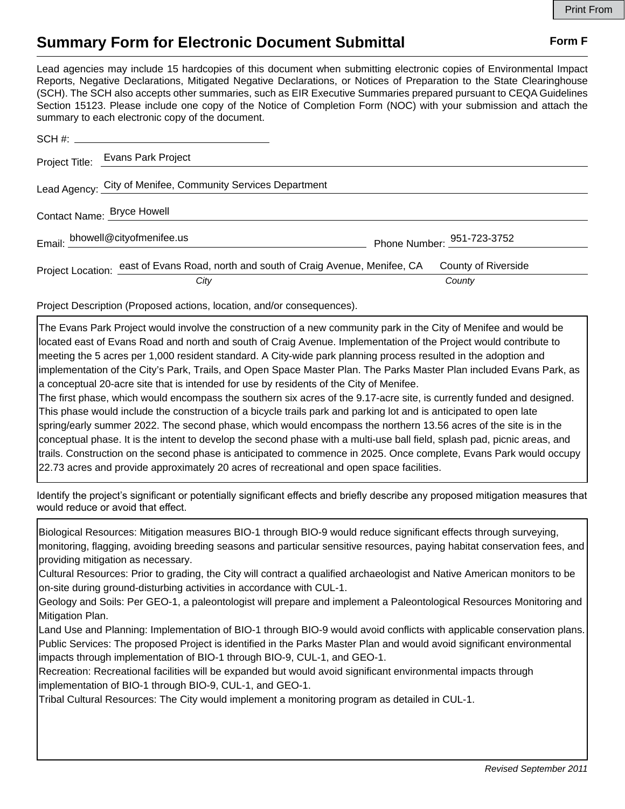## **Summary Form for Electronic Document Submittal Form F Form F**

Lead agencies may include 15 hardcopies of this document when submitting electronic copies of Environmental Impact Reports, Negative Declarations, Mitigated Negative Declarations, or Notices of Preparation to the State Clearinghouse (SCH). The SCH also accepts other summaries, such as EIR Executive Summaries prepared pursuant to CEQA Guidelines Section 15123. Please include one copy of the Notice of Completion Form (NOC) with your submission and attach the summary to each electronic copy of the document.

|                            | Project Title: Evans Park Project                                                  |                                        |
|----------------------------|------------------------------------------------------------------------------------|----------------------------------------|
|                            | Lead Agency: City of Menifee, Community Services Department                        |                                        |
| Contact Name: Bryce Howell |                                                                                    |                                        |
|                            | Email: bhowell@cityofmenifee.us                                                    | Phone Number: $\frac{951-723-3752}{2}$ |
|                            | Project Location: east of Evans Road, north and south of Craig Avenue, Menifee, CA | County of Riverside                    |
|                            | City                                                                               | County                                 |

Project Description (Proposed actions, location, and/or consequences).

The Evans Park Project would involve the construction of a new community park in the City of Menifee and would be located east of Evans Road and north and south of Craig Avenue. Implementation of the Project would contribute to meeting the 5 acres per 1,000 resident standard. A City-wide park planning process resulted in the adoption and implementation of the City's Park, Trails, and Open Space Master Plan. The Parks Master Plan included Evans Park, as a conceptual 20-acre site that is intended for use by residents of the City of Menifee.

The first phase, which would encompass the southern six acres of the 9.17-acre site, is currently funded and designed. This phase would include the construction of a bicycle trails park and parking lot and is anticipated to open late spring/early summer 2022. The second phase, which would encompass the northern 13.56 acres of the site is in the conceptual phase. It is the intent to develop the second phase with a multi-use ball field, splash pad, picnic areas, and trails. Construction on the second phase is anticipated to commence in 2025. Once complete, Evans Park would occupy 22.73 acres and provide approximately 20 acres of recreational and open space facilities.

Identify the project's significant or potentially significant effects and briefly describe any proposed mitigation measures that would reduce or avoid that effect.

Biological Resources: Mitigation measures BIO-1 through BIO-9 would reduce significant effects through surveying, monitoring, flagging, avoiding breeding seasons and particular sensitive resources, paying habitat conservation fees, and providing mitigation as necessary.

Cultural Resources: Prior to grading, the City will contract a qualified archaeologist and Native American monitors to be on-site during ground-disturbing activities in accordance with CUL-1.

Geology and Soils: Per GEO-1, a paleontologist will prepare and implement a Paleontological Resources Monitoring and Mitigation Plan.

Land Use and Planning: Implementation of BIO-1 through BIO-9 would avoid conflicts with applicable conservation plans. Public Services: The proposed Project is identified in the Parks Master Plan and would avoid significant environmental impacts through implementation of BIO-1 through BIO-9, CUL-1, and GEO-1.

Recreation: Recreational facilities will be expanded but would avoid significant environmental impacts through implementation of BIO-1 through BIO-9, CUL-1, and GEO-1.

Tribal Cultural Resources: The City would implement a monitoring program as detailed in CUL-1.